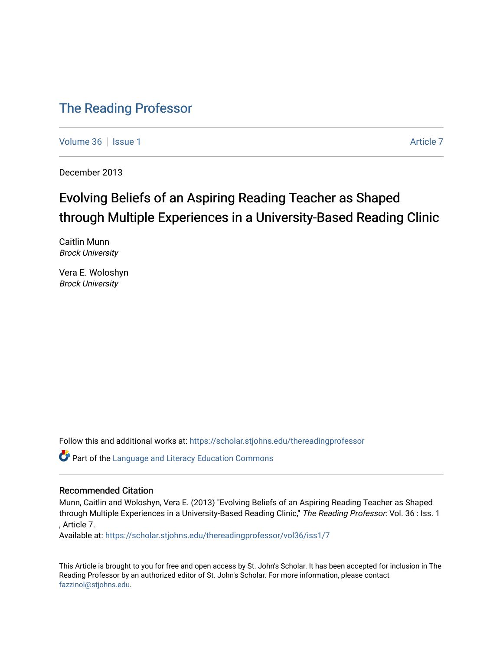### [The Reading Professor](https://scholar.stjohns.edu/thereadingprofessor)

[Volume 36](https://scholar.stjohns.edu/thereadingprofessor/vol36) | [Issue 1](https://scholar.stjohns.edu/thereadingprofessor/vol36/iss1) [Article 7](https://scholar.stjohns.edu/thereadingprofessor/vol36/iss1/7) Article 7 Article 7 Article 7 Article 7 Article 7 Article 7

December 2013

## Evolving Beliefs of an Aspiring Reading Teacher as Shaped through Multiple Experiences in a University-Based Reading Clinic

Caitlin Munn Brock University

Vera E. Woloshyn Brock University

Follow this and additional works at: [https://scholar.stjohns.edu/thereadingprofessor](https://scholar.stjohns.edu/thereadingprofessor?utm_source=scholar.stjohns.edu%2Fthereadingprofessor%2Fvol36%2Fiss1%2F7&utm_medium=PDF&utm_campaign=PDFCoverPages) 

**Part of the Language and Literacy Education Commons** 

#### Recommended Citation

Munn, Caitlin and Woloshyn, Vera E. (2013) "Evolving Beliefs of an Aspiring Reading Teacher as Shaped through Multiple Experiences in a University-Based Reading Clinic," The Reading Professor: Vol. 36 : Iss. 1 , Article 7.

Available at: [https://scholar.stjohns.edu/thereadingprofessor/vol36/iss1/7](https://scholar.stjohns.edu/thereadingprofessor/vol36/iss1/7?utm_source=scholar.stjohns.edu%2Fthereadingprofessor%2Fvol36%2Fiss1%2F7&utm_medium=PDF&utm_campaign=PDFCoverPages) 

This Article is brought to you for free and open access by St. John's Scholar. It has been accepted for inclusion in The Reading Professor by an authorized editor of St. John's Scholar. For more information, please contact [fazzinol@stjohns.edu](mailto:fazzinol@stjohns.edu).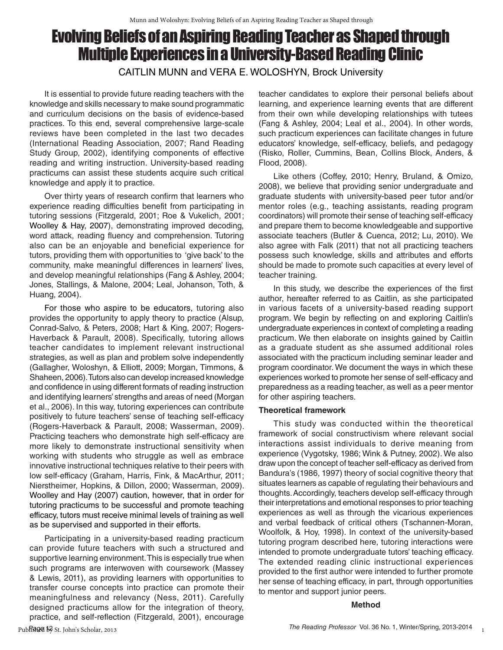# Evolving Beliefs of an Aspiring Reading Teacher as Shaped through Multiple Experiences in a University-Based Reading Clinic

CAITLIN MUNN and VERA E. WOLOSHYN, Brock University

It is essential to provide future reading teachers with the knowledge and skills necessary to make sound programmatic and curriculum decisions on the basis of evidence-based practices. To this end, several comprehensive large-scale reviews have been completed in the last two decades (International Reading Association, 2007; Rand Reading Study Group, 2002), identifying components of effective reading and writing instruction. University-based reading practicums can assist these students acquire such critical knowledge and apply it to practice.

Over thirty years of research confirm that learners who experience reading difficulties benefit from participating in tutoring sessions (Fitzgerald, 2001; Roe & Vukelich, 2001; Woolley & Hay, 2007), demonstrating improved decoding, word attack, reading fluency and comprehension. Tutoring also can be an enjoyable and beneficial experience for tutors, providing them with opportunities to 'give back' to the community, make meaningful differences in learners' lives, and develop meaningful relationships (Fang & Ashley, 2004; Jones, Stallings, & Malone, 2004; Leal, Johanson, Toth, & Huang, 2004).

For those who aspire to be educators, tutoring also provides the opportunity to apply theory to practice (Alsup, Conrad-Salvo, & Peters, 2008; Hart & King, 2007; Rogers-Haverback & Parault, 2008). Specifically, tutoring allows teacher candidates to implement relevant instructional strategies, as well as plan and problem solve independently (Gallagher, Woloshyn, & Elliott, 2009; Morgan, Timmons, & Shaheen, 2006). Tutors also can develop increased knowledge and confidence in using different formats of reading instruction and identifying learners' strengths and areas of need (Morgan et al., 2006). In this way, tutoring experiences can contribute positively to future teachers' sense of teaching self-efficacy (Rogers-Haverback & Parault, 2008; Wasserman, 2009). Practicing teachers who demonstrate high self-efficacy are more likely to demonstrate instructional sensitivity when working with students who struggle as well as embrace innovative instructional techniques relative to their peers with low self-efficacy (Graham, Harris, Fink, & MacArthur, 2011; Nierstheimer, Hopkins, & Dillon, 2000; Wasserman, 2009). Woolley and Hay (2007) caution, however, that in order for tutoring practicums to be successful and promote teaching efficacy, tutors must receive minimal levels of training as well as be supervised and supported in their efforts.

Participating in a university-based reading practicum can provide future teachers with such a structured and supportive learning environment. This is especially true when such programs are interwoven with coursework (Massey & Lewis, 2011), as providing learners with opportunities to transfer course concepts into practice can promote their meaningfulness and relevancy (Ness, 2011). Carefully designed practicums allow for the integration of theory, practice, and self-reflection (Fitzgerald, 2001), encourage

teacher candidates to explore their personal beliefs about learning, and experience learning events that are different from their own while developing relationships with tutees (Fang & Ashley, 2004; Leal et al., 2004). In other words, such practicum experiences can facilitate changes in future educators' knowledge, self-efficacy, beliefs, and pedagogy (Risko, Roller, Cummins, Bean, Collins Block, Anders, & Flood, 2008).

Like others (Coffey, 2010; Henry, Bruland, & Omizo, 2008), we believe that providing senior undergraduate and graduate students with university-based peer tutor and/or mentor roles (e.g., teaching assistants, reading program coordinators) will promote their sense of teaching self-efficacy and prepare them to become knowledgeable and supportive associate teachers (Butler & Cuenca, 2012; Lu, 2010). We also agree with Falk (2011) that not all practicing teachers possess such knowledge, skills and attributes and efforts should be made to promote such capacities at every level of teacher training.

In this study, we describe the experiences of the first author, hereafter referred to as Caitlin, as she participated in various facets of a university-based reading support program. We begin by reflecting on and exploring Caitlin's undergraduate experiences in context of completing a reading practicum. We then elaborate on insights gained by Caitlin as a graduate student as she assumed additional roles associated with the practicum including seminar leader and program coordinator. We document the ways in which these experiences worked to promote her sense of self-efficacy and preparedness as a reading teacher, as well as a peer mentor for other aspiring teachers.

#### **Theoretical framework**

This study was conducted within the theoretical framework of social constructivism where relevant social interactions assist individuals to derive meaning from experience (Vygotsky, 1986; Wink & Putney, 2002). We also draw upon the concept of teacher self-efficacy as derived from Bandura's (1986, 1997) theory of social cognitive theory that situates learners as capable of regulating their behaviours and thoughts. Accordingly, teachers develop self-efficacy through their interpretations and emotional responses to prior teaching experiences as well as through the vicarious experiences and verbal feedback of critical others (Tschannen-Moran, Woolfolk, & Hoy, 1998). In context of the university-based tutoring program described here, tutoring interactions were intended to promote undergraduate tutors' teaching efficacy. The extended reading clinic instructional experiences provided to the first author were intended to further promote her sense of teaching efficacy, in part, through opportunities to mentor and support junior peers.

#### **Method**

1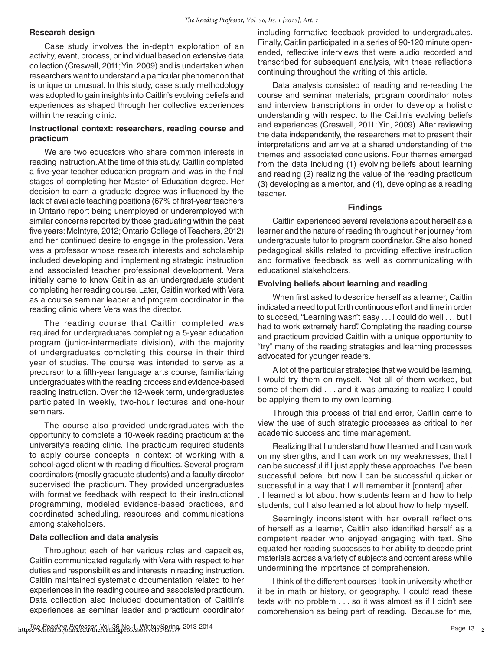#### **Research design**

Case study involves the in-depth exploration of an activity, event, process, or individual based on extensive data collection (Creswell, 2011; Yin, 2009) and is undertaken when researchers want to understand a particular phenomenon that is unique or unusual. In this study, case study methodology was adopted to gain insights into Caitlin's evolving beliefs and experiences as shaped through her collective experiences within the reading clinic.

#### **Instructional context: researchers, reading course and practicum**

We are two educators who share common interests in reading instruction. At the time of this study, Caitlin completed a five-year teacher education program and was in the final stages of completing her Master of Education degree. Her decision to earn a graduate degree was influenced by the lack of available teaching positions (67% of first-year teachers in Ontario report being unemployed or underemployed with similar concerns reported by those graduating within the past five years: McIntyre, 2012; Ontario College of Teachers, 2012) and her continued desire to engage in the profession. Vera was a professor whose research interests and scholarship included developing and implementing strategic instruction and associated teacher professional development. Vera initially came to know Caitlin as an undergraduate student completing her reading course. Later, Caitlin worked with Vera as a course seminar leader and program coordinator in the reading clinic where Vera was the director.

The reading course that Caitlin completed was required for undergraduates completing a 5-year education program (junior-intermediate division), with the majority of undergraduates completing this course in their third year of studies. The course was intended to serve as a precursor to a fifth-year language arts course, familiarizing undergraduates with the reading process and evidence-based reading instruction. Over the 12-week term, undergraduates participated in weekly, two-hour lectures and one-hour seminars.

The course also provided undergraduates with the opportunity to complete a 10-week reading practicum at the university's reading clinic. The practicum required students to apply course concepts in context of working with a school-aged client with reading difficulties. Several program coordinators (mostly graduate students) and a faculty director supervised the practicum. They provided undergraduates with formative feedback with respect to their instructional programming, modeled evidence-based practices, and coordinated scheduling, resources and communications among stakeholders.

#### **Data collection and data analysis**

Throughout each of her various roles and capacities, Caitlin communicated regularly with Vera with respect to her duties and responsibilities and interests in reading instruction. Caitlin maintained systematic documentation related to her experiences in the reading course and associated practicum. Data collection also included documentation of Caitlin's experiences as seminar leader and practicum coordinator including formative feedback provided to undergraduates. Finally, Caitlin participated in a series of 90-120 minute openended, reflective interviews that were audio recorded and transcribed for subsequent analysis, with these reflections continuing throughout the writing of this article.

Data analysis consisted of reading and re-reading the course and seminar materials, program coordinator notes and interview transcriptions in order to develop a holistic understanding with respect to the Caitlin's evolving beliefs and experiences (Creswell, 2011; Yin, 2009). After reviewing the data independently, the researchers met to present their interpretations and arrive at a shared understanding of the themes and associated conclusions. Four themes emerged from the data including (1) evolving beliefs about learning and reading (2) realizing the value of the reading practicum (3) developing as a mentor, and (4), developing as a reading teacher.

#### **Findings**

Caitlin experienced several revelations about herself as a learner and the nature of reading throughout her journey from undergraduate tutor to program coordinator. She also honed pedagogical skills related to providing effective instruction and formative feedback as well as communicating with educational stakeholders.

#### **Evolving beliefs about learning and reading**

When first asked to describe herself as a learner, Caitlin indicated a need to put forth continuous effort and time in order to succeed, "Learning wasn't easy . . . I could do well . . . but I had to work extremely hard". Completing the reading course and practicum provided Caitlin with a unique opportunity to "try" many of the reading strategies and learning processes advocated for younger readers.

A lot of the particular strategies that we would be learning, I would try them on myself. Not all of them worked, but some of them did . . . and it was amazing to realize I could be applying them to my own learning.

Through this process of trial and error, Caitlin came to view the use of such strategic processes as critical to her academic success and time management.

Realizing that I understand how I learned and I can work on my strengths, and I can work on my weaknesses, that I can be successful if I just apply these approaches. I've been successful before, but now I can be successful quicker or successful in a way that I will remember it [content] after. . . . I learned a lot about how students learn and how to help students, but I also learned a lot about how to help myself.

Seemingly inconsistent with her overall reflections of herself as a learner, Caitlin also identified herself as a competent reader who enjoyed engaging with text. She equated her reading successes to her ability to decode print materials across a variety of subjects and content areas while undermining the importance of comprehension.

I think of the different courses I took in university whether it be in math or history, or geography, I could read these texts with no problem . . . so it was almost as if I didn't see comprehension as being part of reading. Because for me,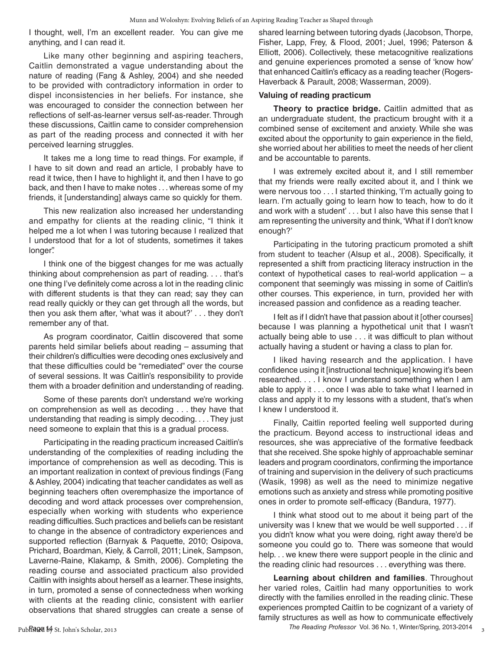I thought, well, I'm an excellent reader. You can give me anything, and I can read it.

Like many other beginning and aspiring teachers, Caitlin demonstrated a vague understanding about the nature of reading (Fang & Ashley, 2004) and she needed to be provided with contradictory information in order to dispel inconsistencies in her beliefs. For instance, she was encouraged to consider the connection between her reflections of self-as-learner versus self-as-reader. Through these discussions, Caitlin came to consider comprehension as part of the reading process and connected it with her perceived learning struggles.

It takes me a long time to read things. For example, if I have to sit down and read an article, I probably have to read it twice, then I have to highlight it, and then I have to go back, and then I have to make notes . . . whereas some of my friends, it [understanding] always came so quickly for them.

This new realization also increased her understanding and empathy for clients at the reading clinic, "I think it helped me a lot when I was tutoring because I realized that I understood that for a lot of students, sometimes it takes longer".

I think one of the biggest changes for me was actually thinking about comprehension as part of reading. . . . that's one thing I've definitely come across a lot in the reading clinic with different students is that they can read; say they can read really quickly or they can get through all the words, but then you ask them after, 'what was it about?' . . . they don't remember any of that.

As program coordinator, Caitlin discovered that some parents held similar beliefs about reading – assuming that their children's difficulties were decoding ones exclusively and that these difficulties could be "remediated" over the course of several sessions. It was Caitlin's responsibility to provide them with a broader definition and understanding of reading.

Some of these parents don't understand we're working on comprehension as well as decoding . . . they have that understanding that reading is simply decoding. . . . They just need someone to explain that this is a gradual process.

Participating in the reading practicum increased Caitlin's understanding of the complexities of reading including the importance of comprehension as well as decoding. This is an important realization in context of previous findings (Fang & Ashley, 2004) indicating that teacher candidates as well as beginning teachers often overemphasize the importance of decoding and word attack processes over comprehension, especially when working with students who experience reading difficulties. Such practices and beliefs can be resistant to change in the absence of contradictory experiences and supported reflection (Barnyak & Paquette, 2010; Osipova, Prichard, Boardman, Kiely, & Carroll, 2011; Linek, Sampson, Laverne-Raine, Klakamp, & Smith, 2006). Completing the reading course and associated practicum also provided Caitlin with insights about herself as a learner. These insights, in turn, promoted a sense of connectedness when working with clients at the reading clinic, consistent with earlier observations that shared struggles can create a sense of shared learning between tutoring dyads (Jacobson, Thorpe, Fisher, Lapp, Frey, & Flood, 2001; Juel, 1996; Paterson & Elliott, 2006). Collectively, these metacognitive realizations and genuine experiences promoted a sense of 'know how' that enhanced Caitlin's efficacy as a reading teacher (Rogers-Haverback & Parault, 2008; Wasserman, 2009).

#### **Valuing of reading practicum**

**Theory to practice bridge.** Caitlin admitted that as an undergraduate student, the practicum brought with it a combined sense of excitement and anxiety. While she was excited about the opportunity to gain experience in the field, she worried about her abilities to meet the needs of her client and be accountable to parents.

I was extremely excited about it, and I still remember that my friends were really excited about it, and I think we were nervous too . . . I started thinking, 'I'm actually going to learn. I'm actually going to learn how to teach, how to do it and work with a student' . . . but I also have this sense that I am representing the university and think, 'What if I don't know enough?'

Participating in the tutoring practicum promoted a shift from student to teacher (Alsup et al., 2008). Specifically, it represented a shift from practicing literacy instruction in the context of hypothetical cases to real-world application – a component that seemingly was missing in some of Caitlin's other courses. This experience, in turn, provided her with increased passion and confidence as a reading teacher.

I felt as if I didn't have that passion about it [other courses] because I was planning a hypothetical unit that I wasn't actually being able to use . . . it was difficult to plan without actually having a student or having a class to plan for.

I liked having research and the application. I have confidence using it [instructional technique] knowing it's been researched. . . . I know I understand something when I am able to apply it . . . once I was able to take what I learned in class and apply it to my lessons with a student, that's when I knew I understood it.

Finally, Caitlin reported feeling well supported during the practicum. Beyond access to instructional ideas and resources, she was appreciative of the formative feedback that she received. She spoke highly of approachable seminar leaders and program coordinators, confirming the importance of training and supervision in the delivery of such practicums (Wasik, 1998) as well as the need to minimize negative emotions such as anxiety and stress while promoting positive ones in order to promote self-efficacy (Bandura, 1977).

I think what stood out to me about it being part of the university was I knew that we would be well supported . . . if you didn't know what you were doing, right away there'd be someone you could go to. There was someone that would help. . . we knew there were support people in the clinic and the reading clinic had resources . . . everything was there.

**Learning about children and families**. Throughout her varied roles, Caitlin had many opportunities to work directly with the families enrolled in the reading clinic. These experiences prompted Caitlin to be cognizant of a variety of family structures as well as how to communicate effectively

The Reading Professor Vol. 36 No. 1, Winter/Spring, 2013-2014

3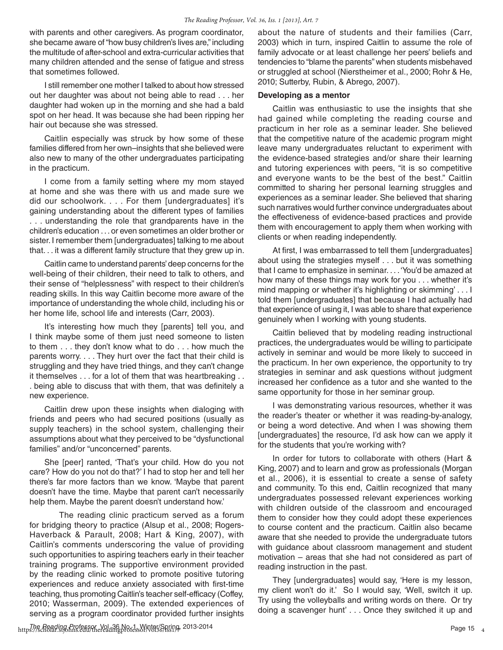with parents and other caregivers. As program coordinator, she became aware of "how busy children's lives are," including the multitude of after-school and extra-curricular activities that many children attended and the sense of fatigue and stress that sometimes followed.

I still remember one mother I talked to about how stressed out her daughter was about not being able to read . . . her daughter had woken up in the morning and she had a bald spot on her head. It was because she had been ripping her hair out because she was stressed.

Caitlin especially was struck by how some of these families differed from her own–insights that she believed were also new to many of the other undergraduates participating in the practicum.

I come from a family setting where my mom stayed at home and she was there with us and made sure we did our schoolwork. . . . For them [undergraduates] it's gaining understanding about the different types of families . . . understanding the role that grandparents have in the children's education . . . or even sometimes an older brother or sister. I remember them [undergraduates] talking to me about that. . . it was a different family structure that they grew up in.

Caitlin came to understand parents' deep concerns for the well-being of their children, their need to talk to others, and their sense of "helplessness" with respect to their children's reading skills. In this way Caitlin become more aware of the importance of understanding the whole child, including his or her home life, school life and interests (Carr, 2003).

It's interesting how much they [parents] tell you, and I think maybe some of them just need someone to listen to them . . . they don't know what to do . . . how much the parents worry. . . . They hurt over the fact that their child is struggling and they have tried things, and they can't change it themselves . . . for a lot of them that was heartbreaking . . . being able to discuss that with them, that was definitely a new experience.

Caitlin drew upon these insights when dialoging with friends and peers who had secured positions (usually as supply teachers) in the school system, challenging their assumptions about what they perceived to be "dysfunctional families" and/or "unconcerned" parents.

She [peer] ranted, 'That's your child. How do you not care? How do you not do that?' I had to stop her and tell her there's far more factors than we know. 'Maybe that parent doesn't have the time. Maybe that parent can't necessarily help them. Maybe the parent doesn't understand how.'

The reading clinic practicum served as a forum for bridging theory to practice (Alsup et al., 2008; Rogers-Haverback & Parault, 2008; Hart & King, 2007), with Caitlin's comments underscoring the value of providing such opportunities to aspiring teachers early in their teacher training programs. The supportive environment provided by the reading clinic worked to promote positive tutoring experiences and reduce anxiety associated with first-time teaching, thus promoting Caitlin's teacher self-efficacy (Coffey, 2010; Wasserman, 2009). The extended experiences of serving as a program coordinator provided further insights

about the nature of students and their families (Carr, 2003) which in turn, inspired Caitlin to assume the role of family advocate or at least challenge her peers' beliefs and tendencies to "blame the parents" when students misbehaved or struggled at school (Nierstheimer et al., 2000; Rohr & He, 2010; Sutterby, Rubin, & Abrego, 2007).

#### **Developing as a mentor**

Caitlin was enthusiastic to use the insights that she had gained while completing the reading course and practicum in her role as a seminar leader. She believed that the competitive nature of the academic program might leave many undergraduates reluctant to experiment with the evidence-based strategies and/or share their learning and tutoring experiences with peers, "it is so competitive and everyone wants to be the best of the best." Caitlin committed to sharing her personal learning struggles and experiences as a seminar leader. She believed that sharing such narratives would further convince undergraduates about the effectiveness of evidence-based practices and provide them with encouragement to apply them when working with clients or when reading independently.

At first, I was embarrassed to tell them [undergraduates] about using the strategies myself . . . but it was something that I came to emphasize in seminar. . . . 'You'd be amazed at how many of these things may work for you . . . whether it's mind mapping or whether it's highlighting or skimming' . . . I told them [undergraduates] that because I had actually had that experience of using it, I was able to share that experience genuinely when I working with young students.

Caitlin believed that by modeling reading instructional practices, the undergraduates would be willing to participate actively in seminar and would be more likely to succeed in the practicum. In her own experience, the opportunity to try strategies in seminar and ask questions without judgment increased her confidence as a tutor and she wanted to the same opportunity for those in her seminar group.

I was demonstrating various resources, whether it was the reader's theater or whether it was reading-by-analogy, or being a word detective. And when I was showing them [undergraduates] the resource, I'd ask how can we apply it for the students that you're working with?

In order for tutors to collaborate with others (Hart & King, 2007) and to learn and grow as professionals (Morgan et al., 2006), it is essential to create a sense of safety and community. To this end, Caitlin recognized that many undergraduates possessed relevant experiences working with children outside of the classroom and encouraged them to consider how they could adopt these experiences to course content and the practicum. Caitlin also became aware that she needed to provide the undergraduate tutors with guidance about classroom management and student motivation – areas that she had not considered as part of reading instruction in the past.

They [undergraduates] would say, 'Here is my lesson, my client won't do it.' So I would say, 'Well, switch it up. Try using the volleyballs and writing words on there. Or try doing a scavenger hunt' . . . Once they switched it up and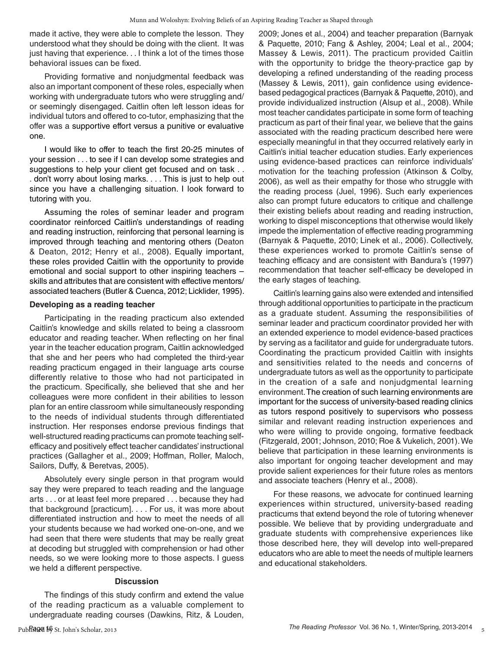made it active, they were able to complete the lesson. They understood what they should be doing with the client. It was just having that experience... I think a lot of the times those behavioral issues can be fixed.

Providing formative and nonjudgmental feedback was also an important component of these roles, especially when working with undergraduate tutors who were struggling and/ or seemingly disengaged. Caitlin often left lesson ideas for individual tutors and offered to co-tutor, emphasizing that the offer was a supportive effort versus a punitive or evaluative one.

I would like to offer to teach the first 20-25 minutes of your session . . . to see if I can develop some strategies and suggestions to help your client get focused and on task . . . don't worry about losing marks. . . . This is just to help out since you have a challenging situation. I look forward to tutoring with you.

Assuming the roles of seminar leader and program coordinator reinforced Caitlin's understandings of reading and reading instruction, reinforcing that personal learning is improved through teaching and mentoring others (Deaton & Deaton, 2012; Henry et al., 2008). Equally important, these roles provided Caitlin with the opportunity to provide emotional and social support to other inspiring teachers – skills and attributes that are consistent with effective mentors/ associated teachers (Butler & Cuenca, 2012; Licklider, 1995).

#### **Developing as a reading teacher**

Participating in the reading practicum also extended Caitlin's knowledge and skills related to being a classroom educator and reading teacher. When reflecting on her final year in the teacher education program, Caitlin acknowledged that she and her peers who had completed the third-year reading practicum engaged in their language arts course differently relative to those who had not participated in the practicum. Specifically, she believed that she and her colleagues were more confident in their abilities to lesson plan for an entire classroom while simultaneously responding to the needs of individual students through differentiated instruction. Her responses endorse previous findings that well-structured reading practicums can promote teaching selfefficacy and positively effect teacher candidates' instructional practices (Gallagher et al., 2009; Hoffman, Roller, Maloch, Sailors, Duffy, & Beretvas, 2005).

Absolutely every single person in that program would say they were prepared to teach reading and the language arts . . . or at least feel more prepared . . . because they had that background [practicum]. . . . For us, it was more about differentiated instruction and how to meet the needs of all your students because we had worked one-on-one, and we had seen that there were students that may be really great at decoding but struggled with comprehension or had other needs, so we were looking more to those aspects. I guess we held a different perspective.

#### **Discussion**

The findings of this study confirm and extend the value of the reading practicum as a valuable complement to undergraduate reading courses (Dawkins, Ritz, & Louden, 2009; Jones et al., 2004) and teacher preparation (Barnyak & Paquette, 2010; Fang & Ashley, 2004; Leal et al., 2004; Massey & Lewis, 2011). The practicum provided Caitlin with the opportunity to bridge the theory-practice gap by developing a refined understanding of the reading process (Massey & Lewis, 2011), gain confidence using evidencebased pedagogical practices (Barnyak & Paquette, 2010), and provide individualized instruction (Alsup et al., 2008). While most teacher candidates participate in some form of teaching practicum as part of their final year, we believe that the gains associated with the reading practicum described here were especially meaningful in that they occurred relatively early in Caitlin's initial teacher education studies. Early experiences using evidence-based practices can reinforce individuals' motivation for the teaching profession (Atkinson & Colby, 2006), as well as their empathy for those who struggle with the reading process (Juel, 1996). Such early experiences also can prompt future educators to critique and challenge their existing beliefs about reading and reading instruction, working to dispel misconceptions that otherwise would likely impede the implementation of effective reading programming (Barnyak & Paquette, 2010; Linek et al., 2006). Collectively, these experiences worked to promote Caitlin's sense of teaching efficacy and are consistent with Bandura's (1997) recommendation that teacher self-efficacy be developed in the early stages of teaching.

Caitlin's learning gains also were extended and intensified through additional opportunities to participate in the practicum as a graduate student. Assuming the responsibilities of seminar leader and practicum coordinator provided her with an extended experience to model evidence-based practices by serving as a facilitator and guide for undergraduate tutors. Coordinating the practicum provided Caitlin with insights and sensitivities related to the needs and concerns of undergraduate tutors as well as the opportunity to participate in the creation of a safe and nonjudgmental learning environment.The creation of such learning environments are important for the success of university-based reading clinics as tutors respond positively to supervisors who possess similar and relevant reading instruction experiences and who were willing to provide ongoing, formative feedback (Fitzgerald, 2001; Johnson, 2010; Roe & Vukelich, 2001). We believe that participation in these learning environments is also important for ongoing teacher development and may provide salient experiences for their future roles as mentors and associate teachers (Henry et al., 2008).

For these reasons, we advocate for continued learning experiences within structured, university-based reading practicums that extend beyond the role of tutoring whenever possible. We believe that by providing undergraduate and graduate students with comprehensive experiences like those described here, they will develop into well-prepared educators who are able to meet the needs of multiple learners and educational stakeholders.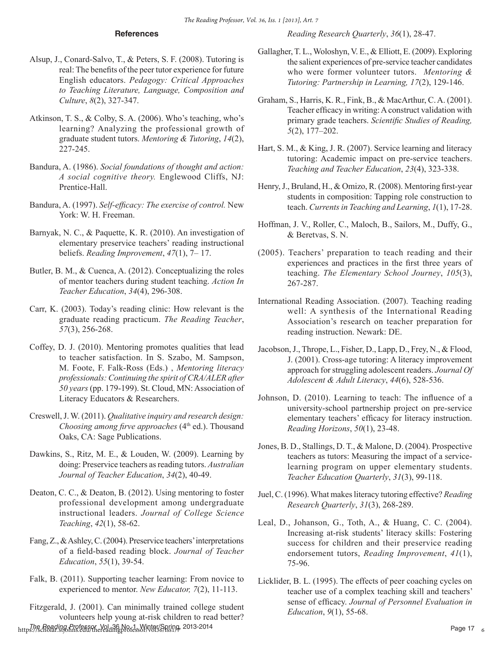#### **References**

*Reading Research Quarterly*, *36*(1), 28-47.

- Alsup, J., Conard-Salvo, T., & Peters, S. F. (2008). Tutoring is real: The benefts of the peer tutor experience for future English educators. *Pedagogy: Critical Approaches to Teaching Literature, Language, Composition and Culture*, *8*(2), 327-347.
- Atkinson, T. S., & Colby, S. A. (2006). Who's teaching, who's learning? Analyzing the professional growth of graduate student tutors. *Mentoring & Tutoring*, *14*(2), 227-245.
- Bandura, A. (1986). *Social foundations of thought and action: A social cognitive theory.* Englewood Cliffs, NJ: Prentice-Hall.
- Bandura, A. (1997). *Self-effcacy: The exercise of control.* New York: W. H. Freeman.
- Barnyak, N. C., & Paquette, K. R. (2010). An investigation of elementary preservice teachers' reading instructional beliefs. *Reading Improvement*, *47*(1), 7– 17.
- Butler, B. M., & Cuenca, A. (2012). Conceptualizing the roles of mentor teachers during student teaching. *Action In Teacher Education*, *34*(4), 296-308.
- Carr, K. (2003). Today's reading clinic: How relevant is the graduate reading practicum. *The Reading Teacher*, *57*(3), 256-268.
- Coffey, D. J. (2010). Mentoring promotes qualities that lead to teacher satisfaction. In S. Szabo, M. Sampson, M. Foote, F. Falk-Ross (Eds.) , *Mentoring literacy professionals: Continuing the spirit of CRA/ALER after 50 years* (pp. 179-199). St. Cloud, MN: Association of Literacy Educators & Researchers.
- Creswell, J. W. (2011). *Qualitative inquiry and research design: Choosing among firve approaches* (4<sup>th</sup> ed.). Thousand Oaks, CA: Sage Publications.
- Dawkins, S., Ritz, M. E., & Louden, W. (2009). Learning by doing: Preservice teachers as reading tutors. *Australian Journal of Teacher Education*, *34*(2), 40-49.
- Deaton, C. C., & Deaton, B. (2012). Using mentoring to foster professional development among undergraduate instructional leaders. *Journal of College Science Teaching*, *42*(1), 58-62.
- Fang, Z., & Ashley, C. (2004). Preservice teachers' interpretations of a feld-based reading block. *Journal of Teacher Education*, *55*(1), 39-54.
- Falk, B. (2011). Supporting teacher learning: From novice to experienced to mentor. *New Educator, 7*(2), 11-113.
- https://scholar.org/col.arg/col.arg/col.arg/col.arg/col.arg/col.arg/col.arg/col.arg/col.arg/col.arg/col.arg/col<br>https://scholar.stjohns.edu/thereadingprofessor/vol36/iss179, 2013-2014 Fitzgerald, J. (2001). Can minimally trained college student volunteers help young at-risk children to read better?
- Gallagher, T. L., Woloshyn, V. E., & Elliott, E. (2009). Exploring the salient experiences of pre-service teacher candidates who were former volunteer tutors. *Mentoring & Tutoring: Partnership in Learning, 17*(2), 129-146.
- Graham, S., Harris, K. R., Fink, B., & MacArthur, C. A. (2001). Teacher efficacy in writing: A construct validation with primary grade teachers. *Scientifc Studies of Reading, 5*(2), 177–202.
- Hart, S. M., & King, J. R. (2007). Service learning and literacy tutoring: Academic impact on pre-service teachers. *Teaching and Teacher Education*, *23*(4), 323-338.
- Henry, J., Bruland, H., & Omizo, R. (2008). Mentoring frst-year students in composition: Tapping role construction to teach. *Currents in Teaching and Learning*, *1*(1), 17-28.
- Hoffman, J. V., Roller, C., Maloch, B., Sailors, M., Duffy, G., & Beretvas, S. N.
- (2005). Teachers' preparation to teach reading and their experiences and practices in the frst three years of teaching. *The Elementary School Journey*, *105*(3), 267-287.
- International Reading Association. (2007). Teaching reading well: A synthesis of the International Reading Association's research on teacher preparation for reading instruction. Newark: DE.
- Jacobson, J., Thrope, L., Fisher, D., Lapp, D., Frey, N., & Flood, J. (2001). Cross-age tutoring: A literacy improvement approach for struggling adolescent readers. *Journal Of Adolescent & Adult Literacy*, *44*(6), 528-536.
- Johnson, D. (2010). Learning to teach: The infuence of a university-school partnership project on pre-service elementary teachers' efficacy for literacy instruction. *Reading Horizons*, *50*(1), 23-48.
- Jones, B. D., Stallings, D. T., & Malone, D. (2004). Prospective teachers as tutors: Measuring the impact of a servicelearning program on upper elementary students. *Teacher Education Quarterly*, *31*(3), 99-118.
- Juel, C. (1996). What makes literacy tutoring effective? *Reading Research Quarterly*, *31*(3), 268-289.
- Leal, D., Johanson, G., Toth, A., & Huang, C. C. (2004). Increasing at-risk students' literacy skills: Fostering success for children and their preservice reading endorsement tutors, *Reading Improvement*, *41*(1), 75-96.
- Licklider, B. L. (1995). The effects of peer coaching cycles on teacher use of a complex teaching skill and teachers' sense of effcacy. *Journal of Personnel Evaluation in Education*, *9*(1), 55-68.